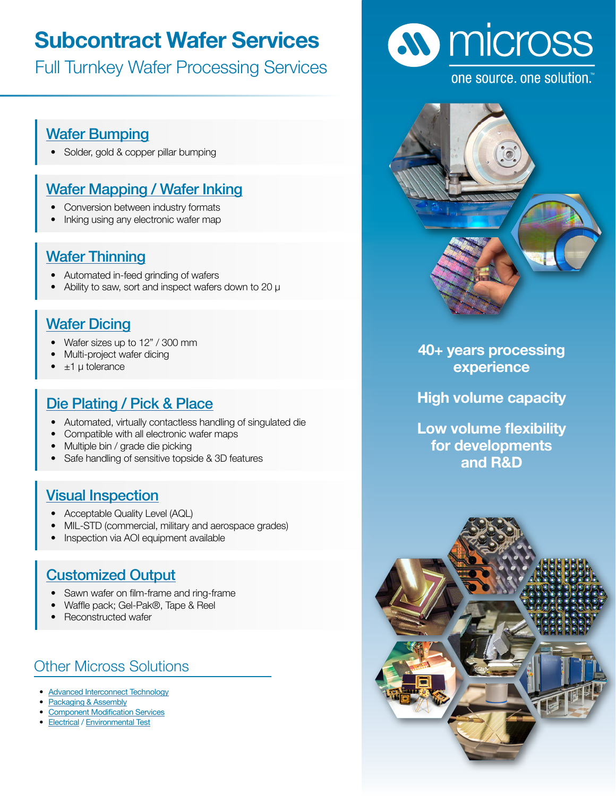# **Subcontract Wafer Services**

Full Turnkey Wafer Processing Services

## [Wafer Bumping](https://www.micross.com/advanced-interconnect-technology/wafer-bumping/)

• Solder, gold & copper pillar bumping

## [Wafer Mapping / Wafer Inking](https://www.micross.com/die-distribution-and-wafer-processing/wafer-processing/)

- Conversion between industry formats
- Inking using any electronic wafer map

#### **[Wafer Thinning](https://www.micross.com/die-distribution-and-wafer-processing/wafer-processing/)**

- Automated in-feed grinding of wafers
- Ability to saw, sort and inspect wafers down to 20  $\mu$

### [Wafer Dicing](https://www.micross.com/die-distribution-and-wafer-processing/wafer-processing/)

- Wafer sizes up to 12" / 300 mm
- Multi-project wafer dicing
- $±1$  µ tolerance

## [Die Plating / Pick & Place](https://www.micross.com/die-distribution-and-wafer-processing/wafer-processing/)

- Automated, virtually contactless handling of singulated die
- Compatible with all electronic wafer maps
- Multiple bin / grade die picking
- Safe handling of sensitive topside & 3D features

#### [Visual Inspection](https://www.micross.com/die-distribution-and-wafer-processing/wafer-processing/)

- Acceptable Quality Level (AQL)
- MIL-STD (commercial, military and aerospace grades)
- Inspection via AOI equipment available

## [Customized Output](http://Customized Output )

- Sawn wafer on film-frame and ring-frame
- Waffle pack; Gel-Pak®, Tape & Reel
- Reconstructed wafer

# Other Micross Solutions

- [Advanced Interconnect Technology](https://www.micross.com/advanced-interconnect-technology/)
- [Packaging & Assembly](https://www.micross.com/packaging-and-assembly/)
- [Component Modification Services](https://www.micross.com/component-modification-services/)
- [Electrical](https://www.micross.com/electrical-test/) / [Environmental Test](https://www.micross.com/environmental-testing/)



#### one source, one solution.



**40+ years processing experience**

**High volume capacity**

**Low volume flexibility for developments and R&D**